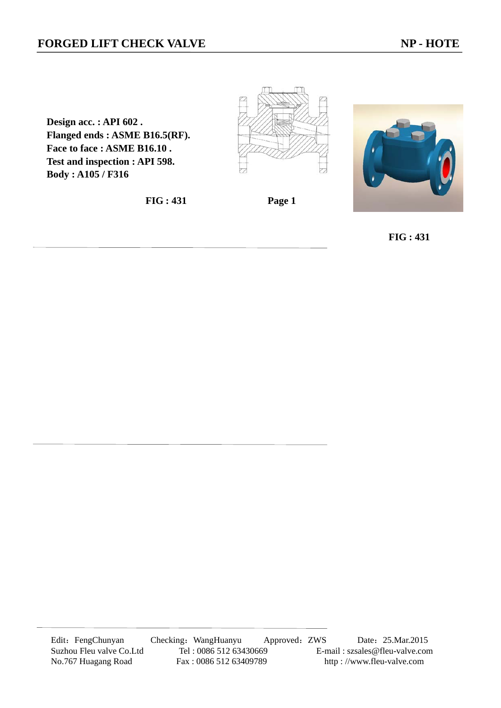**Design acc. : API 602 . Flanged ends : ASME B16.5(RF). Face to face : ASME B16.10 . Test and inspection : API 598. Body : A105 / F316** 

**FIG : 431 Page 1** 





 **FIG : 431**